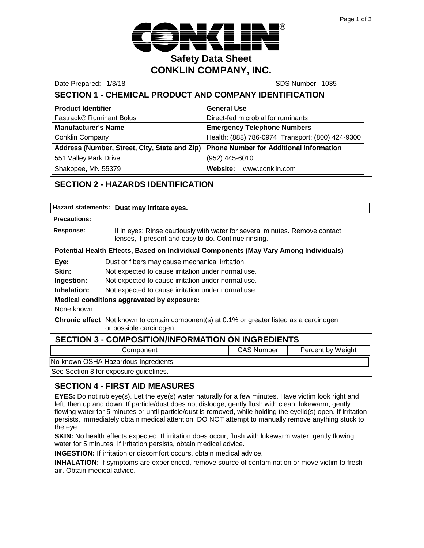

Date Prepared: 1/3/18 SDS Number: 1035

# **SECTION 1 - CHEMICAL PRODUCT AND COMPANY IDENTIFICATION**

| <b>Product Identifier</b>                                                             | <b>General Use</b>                               |
|---------------------------------------------------------------------------------------|--------------------------------------------------|
| <b>Fastrack® Ruminant Bolus</b>                                                       | Direct-fed microbial for ruminants               |
| <b>Manufacturer's Name</b>                                                            | <b>Emergency Telephone Numbers</b>               |
| Conklin Company                                                                       | Health: (888) 786-0974 Transport: (800) 424-9300 |
| Address (Number, Street, City, State and Zip) Phone Number for Additional Information |                                                  |
| 551 Valley Park Drive                                                                 | (952) 445-6010                                   |
| Shakopee, MN 55379                                                                    | Website: www.conklin.com                         |

## **SECTION 2 - HAZARDS IDENTIFICATION**

| Hazard statements: Dust may irritate eyes. |  |
|--------------------------------------------|--|
|                                            |  |

#### **Precautions:**

**Response:** If in eyes: Rinse cautiously with water for several minutes. Remove contact lenses, if present and easy to do. Continue rinsing.

#### **Potential Health Effects, Based on Individual Components (May Vary Among Individuals)**

**Eye:** Dust or fibers may cause mechanical irritation.

**Skin:** Not expected to cause irritation under normal use.

**Ingestion:** Not expected to cause irritation under normal use.

**Inhalation:** Not expected to cause irritation under normal use.

#### **Medical conditions aggravated by exposure:**

None known

**Chronic effect** Not known to contain component(s) at 0.1% or greater listed as a carcinogen or possible carcinogen.

| <b>SECTION 3 - COMPOSITION/INFORMATION ON INGREDIENTS</b> |                   |                   |  |
|-----------------------------------------------------------|-------------------|-------------------|--|
| Component                                                 | <b>CAS Number</b> | Percent by Weight |  |
| No known OSHA Hazardous Ingredients                       |                   |                   |  |
| See Section 8 for exposure guidelines.                    |                   |                   |  |

#### **SECTION 4 - FIRST AID MEASURES**

**EYES:** Do not rub eye(s). Let the eye(s) water naturally for a few minutes. Have victim look right and left, then up and down. If particle/dust does not dislodge, gently flush with clean, lukewarm, gently flowing water for 5 minutes or until particle/dust is removed, while holding the eyelid(s) open. If irritation persists, immediately obtain medical attention. DO NOT attempt to manually remove anything stuck to the eye.

**SKIN:** No health effects expected. If irritation does occur, flush with lukewarm water, gently flowing water for 5 minutes. If irritation persists, obtain medical advice.

**INGESTION:** If irritation or discomfort occurs, obtain medical advice.

**INHALATION:** If symptoms are experienced, remove source of contamination or move victim to fresh air. Obtain medical advice.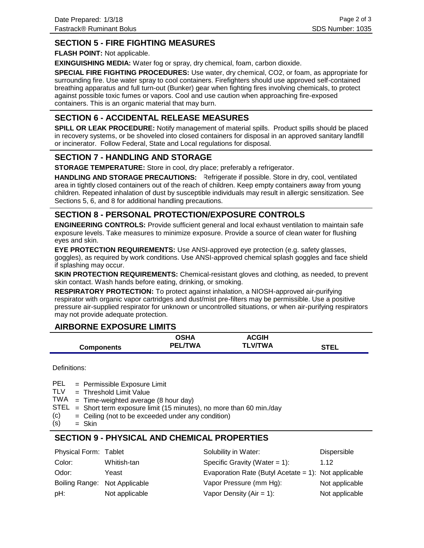## **SECTION 5 - FIRE FIGHTING MEASURES**

**FLASH POINT:** Not applicable.

**EXINGUISHING MEDIA:** Water fog or spray, dry chemical, foam, carbon dioxide.

**SPECIAL FIRE FIGHTING PROCEDURES:** Use water, dry chemical, CO2, or foam, as appropriate for surrounding fire. Use water spray to cool containers. Firefighters should use approved self-contained breathing apparatus and full turn-out (Bunker) gear when fighting fires involving chemicals, to protect against possible toxic fumes or vapors. Cool and use caution when approaching fire-exposed containers. This is an organic material that may burn.

## **SECTION 6 - ACCIDENTAL RELEASE MEASURES**

**SPILL OR LEAK PROCEDURE:** Notify management of material spills. Product spills should be placed in recovery systems, or be shoveled into closed containers for disposal in an approved sanitary landfill or incinerator. Follow Federal, State and Local regulations for disposal.

## **SECTION 7 - HANDLING AND STORAGE**

**STORAGE TEMPERATURE:** Store in cool, dry place; preferably a refrigerator.

HANDLING AND STORAGE PRECAUTIONS: Refrigerate if possible. Store in dry, cool, ventilated area in tightly closed containers out of the reach of children. Keep empty containers away from young children. Repeated inhalation of dust by susceptible individuals may result in allergic sensitization. See Sections 5, 6, and 8 for additional handling precautions.

## **SECTION 8 - PERSONAL PROTECTION/EXPOSURE CONTROLS**

**ENGINEERING CONTROLS:** Provide sufficient general and local exhaust ventilation to maintain safe exposure levels. Take measures to minimize exposure. Provide a source of clean water for flushing eyes and skin.

**EYE PROTECTION REQUIREMENTS:** Use ANSI-approved eye protection (e.g. safety glasses, goggles), as required by work conditions. Use ANSI-approved chemical splash goggles and face shield if splashing may occur.

**SKIN PROTECTION REQUIREMENTS:** Chemical-resistant gloves and clothing, as needed, to prevent skin contact. Wash hands before eating, drinking, or smoking.

**RESPIRATORY PROTECTION:** To protect against inhalation, a NIOSH-approved air-purifying respirator with organic vapor cartridges and dust/mist pre-filters may be permissible. Use a positive pressure air-supplied respirator for unknown or uncontrolled situations, or when air-purifying respirators may not provide adequate protection.

## **AIRBORNE EXPOSURE LIMITS**

|                   | OSHA           | <b>ACGIH</b>   |             |
|-------------------|----------------|----------------|-------------|
| <b>Components</b> | <b>PEL/TWA</b> | <b>TLV/TWA</b> | <b>STEL</b> |

Definitions:

= Permissible Exposure Limit PEL

- Threshold Limit Value = TLV
- $TWA = Time-weighted average (8 hour day)$
- $STEL = Short term exposure limit (15 minutes), no more than 60 min/day$
- Ceiling (not to be exceeded under any condition) = (c)
- Skin = (s)

## **SECTION 9 - PHYSICAL AND CHEMICAL PROPERTIES**

| Physical Form: Tablet         |                | Solubility in Water:                                 | Dispersible    |
|-------------------------------|----------------|------------------------------------------------------|----------------|
| Color:                        | Whitish-tan    | Specific Gravity (Water = $1$ ):                     | 1.12           |
| Odor:                         | Yeast          | Evaporation Rate (Butyl Acetate = 1): Not applicable |                |
| Boiling Range: Not Applicable |                | Vapor Pressure (mm Hg):                              | Not applicable |
| pH:                           | Not applicable | Vapor Density ( $Air = 1$ ):                         | Not applicable |